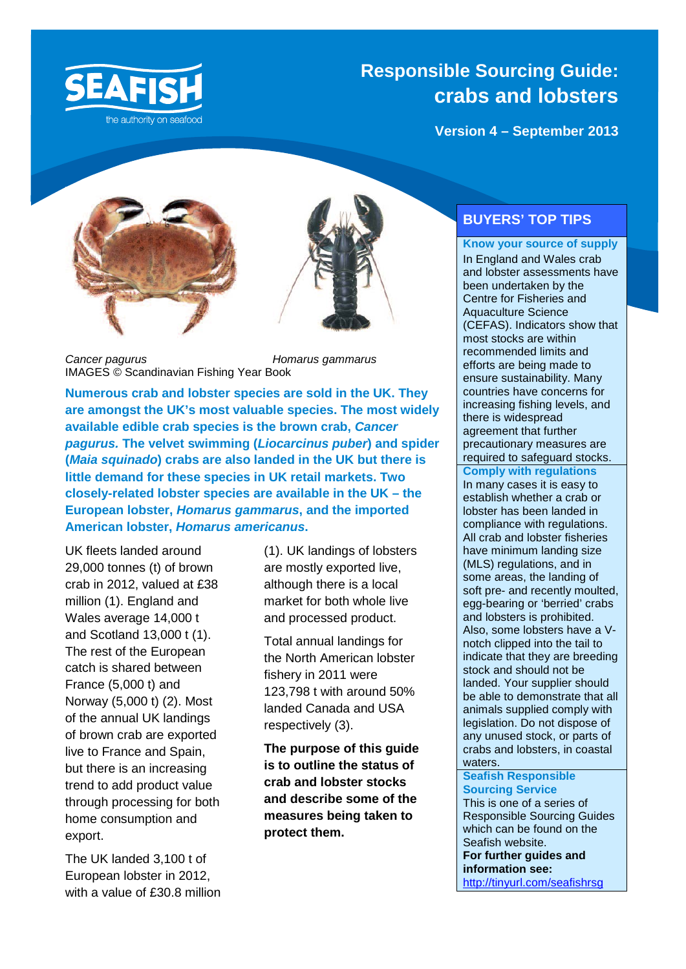

### **Responsible Sourcing Guide: crabs and lobsters**

**Version 4 – September 2013**





*Cancer pagurus Homarus gammarus* IMAGES © Scandinavian Fishing Year Book

**Numerous crab and lobster species are sold in the UK. They are amongst the UK's most valuable species. The most widely available edible crab species is the brown crab,** *Cancer pagurus.* **The velvet swimming (***Liocarcinus puber***) and spider (***Maia squinado***) crabs are also landed in the UK but there is little demand for these species in UK retail markets. Two closely-related lobster species are available in the UK – the European lobster,** *Homarus gammarus***, and the imported American lobster,** *Homarus americanus***.**

UK fleets landed around 29,000 tonnes (t) of brown crab in 2012, valued at £38 million (1). England and Wales average 14,000 t and Scotland 13,000 t (1). The rest of the European catch is shared between France (5,000 t) and Norway (5,000 t) (2). Most of the annual UK landings of brown crab are exported live to France and Spain, but there is an increasing trend to add product value through processing for both home consumption and export.

The UK landed 3,100 t of European lobster in 2012, with a value of £30.8 million (1). UK landings of lobsters are mostly exported live, although there is a local market for both whole live and processed product.

Total annual landings for the North American lobster fishery in 2011 were 123,798 t with around 50% landed Canada and USA respectively (3).

**The purpose of this guide is to outline the status of crab and lobster stocks and describe some of the measures being taken to protect them.**

### **BUYERS' TOP TIPS**

### **Know your source of supply**

In England and Wales crab and lobster assessments have been undertaken by the Centre for Fisheries and Aquaculture Science (CEFAS). Indicators show that most stocks are within recommended limits and efforts are being made to ensure sustainability. Many countries have concerns for increasing fishing levels, and there is widespread agreement that further precautionary measures are required to safeguard stocks.

### **Comply with regulations**

In many cases it is easy to establish whether a crab or lobster has been landed in compliance with regulations. All crab and lobster fisheries have minimum landing size (MLS) regulations, and in some areas, the landing of soft pre- and recently moulted, egg-bearing or 'berried' crabs and lobsters is prohibited. Also, some lobsters have a Vnotch clipped into the tail to indicate that they are breeding stock and should not be landed. Your supplier should be able to demonstrate that all animals supplied comply with legislation. Do not dispose of any unused stock, or parts of crabs and lobsters, in coastal waters.

**Seafish Responsible Sourcing Service** This is one of a series of Responsible Sourcing Guides which can be found on the Seafish website. **For further guides and information see:** 

<http://tinyurl.com/seafishrsg>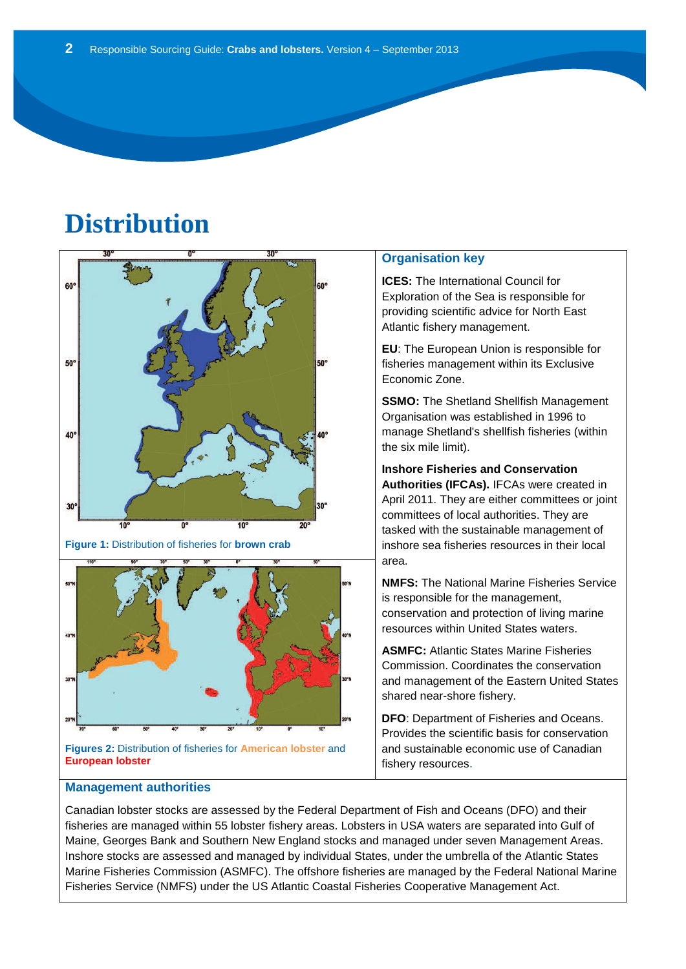# **Distribution**



**Figures 2:** Distribution of fisheries for **American lobster** and **European lobster**

#### **Management authorities**

### **Organisation key**

**ICES:** The International Council for Exploration of the Sea is responsible for providing scientific advice for North East Atlantic fishery management.

**EU**: The European Union is responsible for fisheries management within its Exclusive Economic Zone.

**SSMO:** The Shetland Shellfish Management Organisation was established in 1996 to manage Shetland's shellfish fisheries (within the six mile limit).

**Inshore Fisheries and Conservation Authorities (IFCAs).** IFCAs were created in April 2011. They are either committees or joint committees of local authorities. They are tasked with the sustainable management of inshore sea fisheries resources in their local area.

**NMFS:** The National Marine Fisheries Service is responsible for the management, conservation and protection of living marine resources within United States waters.

**ASMFC:** Atlantic States Marine Fisheries Commission. Coordinates the conservation and management of the Eastern United States shared near-shore fishery.

**DFO**: Department of Fisheries and Oceans. Provides the scientific basis for conservation and sustainable economic use of Canadian fishery resources.

Canadian lobster stocks are assessed by the Federal Department of Fish and Oceans (DFO) and their fisheries are managed within 55 lobster fishery areas. Lobsters in USA waters are separated into Gulf of Maine, Georges Bank and Southern New England stocks and managed under seven Management Areas. Inshore stocks are assessed and managed by individual States, under the umbrella of the Atlantic States Marine Fisheries Commission (ASMFC). The offshore fisheries are managed by the Federal National Marine Fisheries Service (NMFS) under the US Atlantic Coastal Fisheries Cooperative Management Act.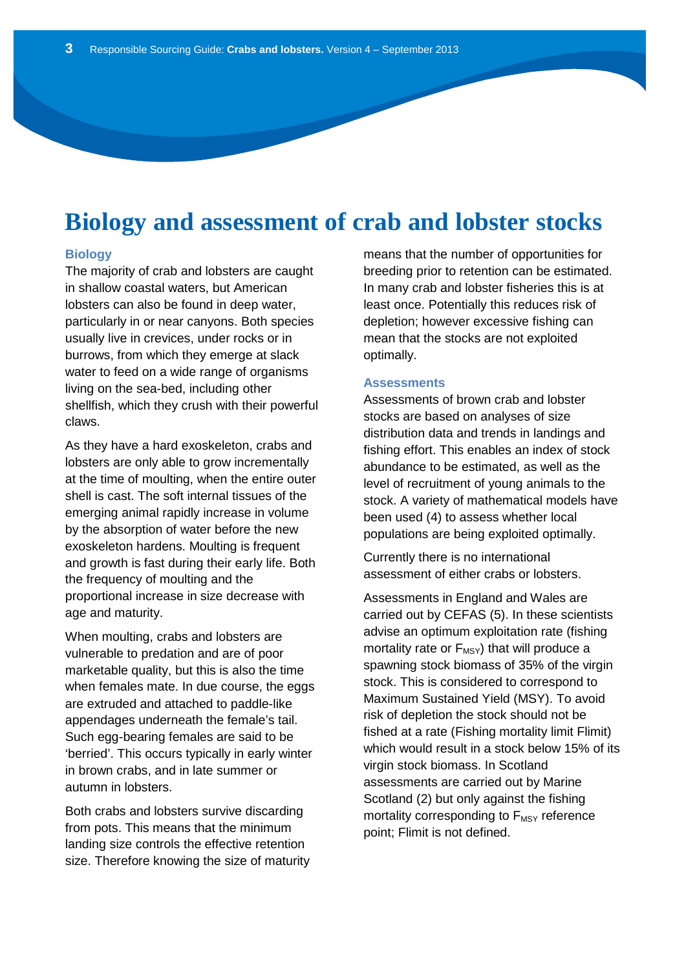### **Biology and assessment of crab and lobster stocks**

#### **Biology**

The majority of crab and lobsters are caught in shallow coastal waters, but American lobsters can also be found in deep water, particularly in or near canyons. Both species usually live in crevices, under rocks or in burrows, from which they emerge at slack water to feed on a wide range of organisms living on the sea-bed, including other shellfish, which they crush with their powerful claws.

As they have a hard exoskeleton, crabs and lobsters are only able to grow incrementally at the time of moulting, when the entire outer shell is cast. The soft internal tissues of the emerging animal rapidly increase in volume by the absorption of water before the new exoskeleton hardens. Moulting is frequent and growth is fast during their early life. Both the frequency of moulting and the proportional increase in size decrease with age and maturity.

When moulting, crabs and lobsters are vulnerable to predation and are of poor marketable quality, but this is also the time when females mate. In due course, the eggs are extruded and attached to paddle-like appendages underneath the female's tail. Such egg-bearing females are said to be 'berried'. This occurs typically in early winter in brown crabs, and in late summer or autumn in lobsters.

Both crabs and lobsters survive discarding from pots. This means that the minimum landing size controls the effective retention size. Therefore knowing the size of maturity means that the number of opportunities for breeding prior to retention can be estimated. In many crab and lobster fisheries this is at least once. Potentially this reduces risk of depletion; however excessive fishing can mean that the stocks are not exploited optimally.

### **Assessments**

Assessments of brown crab and lobster stocks are based on analyses of size distribution data and trends in landings and fishing effort. This enables an index of stock abundance to be estimated, as well as the level of recruitment of young animals to the stock. A variety of mathematical models have been used (4) to assess whether local populations are being exploited optimally.

Currently there is no international assessment of either crabs or lobsters.

Assessments in England and Wales are carried out by CEFAS (5). In these scientists advise an optimum exploitation rate (fishing mortality rate or  $F_{MSY}$ ) that will produce a spawning stock biomass of 35% of the virgin stock. This is considered to correspond to Maximum Sustained Yield (MSY). To avoid risk of depletion the stock should not be fished at a rate (Fishing mortality limit Flimit) which would result in a stock below 15% of its virgin stock biomass. In Scotland assessments are carried out by Marine Scotland (2) but only against the fishing mortality corresponding to  $F_{MSY}$  reference point; Flimit is not defined.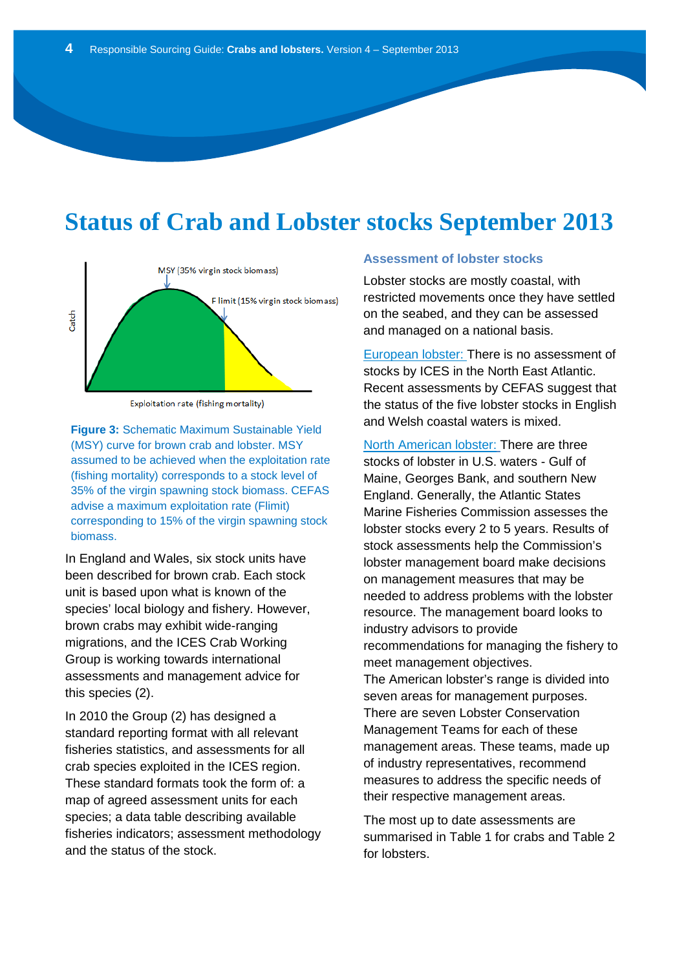### **Status of Crab and Lobster stocks September 2013**



Exploitation rate (fishing mortality)

35% of the virgin spawning stock biomass. CEFAS **Figure 3:** Schematic Maximum Sustainable Yield (MSY) curve for brown crab and lobster. MSY assumed to be achieved when the exploitation rate (fishing mortality) corresponds to a stock level of advise a maximum exploitation rate (Flimit) corresponding to 15% of the virgin spawning stock biomass.

In England and Wales, six stock units have been described for brown crab. Each stock unit is based upon what is known of the species' local biology and fishery. However, brown crabs may exhibit wide-ranging migrations, and the ICES Crab Working Group is working towards international assessments and management advice for this species (2).

In 2010 the Group (2) has designed a standard reporting format with all relevant fisheries statistics, and assessments for all crab species exploited in the ICES region. These standard formats took the form of: a map of agreed assessment units for each species; a data table describing available fisheries indicators; assessment methodology and the status of the stock.

### **Assessment of lobster stocks**

Lobster stocks are mostly coastal, with restricted movements once they have settled on the seabed, and they can be assessed and managed on a national basis.

European lobster: There is no assessment of stocks by ICES in the North East Atlantic. Recent assessments by CEFAS suggest that the status of the five lobster stocks in English and Welsh coastal waters is mixed.

North American lobster: There are three stocks of lobster in U.S. waters - Gulf of Maine, Georges Bank, and southern New England. Generally, the Atlantic States Marine Fisheries Commission assesses the lobster stocks every 2 to 5 years. Results of stock assessments help the Commission's lobster management board make decisions on management measures that may be needed to address problems with the lobster resource. The management board looks to industry advisors to provide recommendations for managing the fishery to meet management objectives. The American lobster's range is divided into seven areas for management purposes. There are seven Lobster Conservation Management Teams for each of these management areas. These teams, made up of industry representatives, recommend measures to address the specific needs of their respective management areas.

The most up to date assessments are summarised in Table 1 for crabs and Table 2 for lobsters.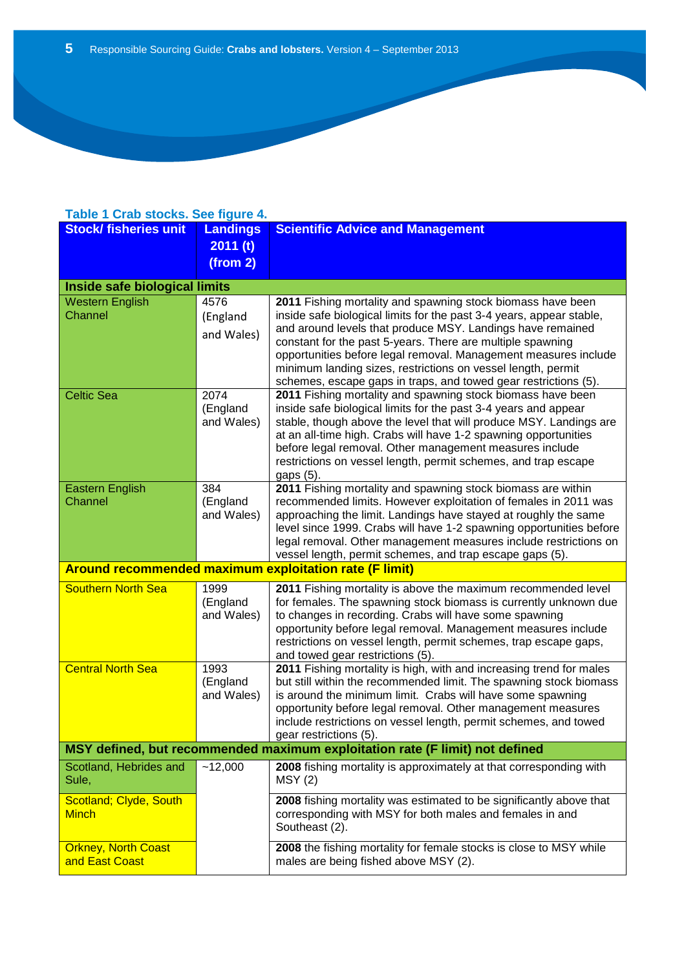### **Table 1 Crab stocks. See figure 4.**

| <b>Stock/ fisheries unit</b>                                                 | <b>Landings</b>        | <b>Scientific Advice and Management</b>                                                                                                   |  |
|------------------------------------------------------------------------------|------------------------|-------------------------------------------------------------------------------------------------------------------------------------------|--|
|                                                                              | 2011(t)                |                                                                                                                                           |  |
|                                                                              | (from 2)               |                                                                                                                                           |  |
| Inside safe biological limits                                                |                        |                                                                                                                                           |  |
| <b>Western English</b>                                                       | 4576                   | 2011 Fishing mortality and spawning stock biomass have been                                                                               |  |
| Channel                                                                      | (England               | inside safe biological limits for the past 3-4 years, appear stable,                                                                      |  |
|                                                                              | and Wales)             | and around levels that produce MSY. Landings have remained                                                                                |  |
|                                                                              |                        | constant for the past 5-years. There are multiple spawning<br>opportunities before legal removal. Management measures include             |  |
|                                                                              |                        | minimum landing sizes, restrictions on vessel length, permit                                                                              |  |
|                                                                              |                        | schemes, escape gaps in traps, and towed gear restrictions (5).                                                                           |  |
| <b>Celtic Sea</b>                                                            | 2074                   | 2011 Fishing mortality and spawning stock biomass have been                                                                               |  |
|                                                                              | (England<br>and Wales) | inside safe biological limits for the past 3-4 years and appear<br>stable, though above the level that will produce MSY. Landings are     |  |
|                                                                              |                        | at an all-time high. Crabs will have 1-2 spawning opportunities                                                                           |  |
|                                                                              |                        | before legal removal. Other management measures include                                                                                   |  |
|                                                                              |                        | restrictions on vessel length, permit schemes, and trap escape                                                                            |  |
| <b>Eastern English</b>                                                       | 384                    | gaps (5).<br>2011 Fishing mortality and spawning stock biomass are within                                                                 |  |
| Channel                                                                      | (England               | recommended limits. However exploitation of females in 2011 was                                                                           |  |
|                                                                              | and Wales)             | approaching the limit. Landings have stayed at roughly the same                                                                           |  |
|                                                                              |                        | level since 1999. Crabs will have 1-2 spawning opportunities before<br>legal removal. Other management measures include restrictions on   |  |
|                                                                              |                        | vessel length, permit schemes, and trap escape gaps (5).                                                                                  |  |
| Around recommended maximum exploitation rate (F limit)                       |                        |                                                                                                                                           |  |
| <b>Southern North Sea</b>                                                    | 1999                   | 2011 Fishing mortality is above the maximum recommended level                                                                             |  |
|                                                                              | (England<br>and Wales) | for females. The spawning stock biomass is currently unknown due<br>to changes in recording. Crabs will have some spawning                |  |
|                                                                              |                        | opportunity before legal removal. Management measures include                                                                             |  |
|                                                                              |                        | restrictions on vessel length, permit schemes, trap escape gaps,                                                                          |  |
|                                                                              |                        | and towed gear restrictions (5).                                                                                                          |  |
| <b>Central North Sea</b>                                                     | 1993<br>(England       | 2011 Fishing mortality is high, with and increasing trend for males<br>but still within the recommended limit. The spawning stock biomass |  |
|                                                                              | and Wales)             | is around the minimum limit. Crabs will have some spawning                                                                                |  |
|                                                                              |                        | opportunity before legal removal. Other management measures                                                                               |  |
|                                                                              |                        | include restrictions on vessel length, permit schemes, and towed<br>gear restrictions (5).                                                |  |
| MSY defined, but recommended maximum exploitation rate (F limit) not defined |                        |                                                                                                                                           |  |
| Scotland, Hebrides and                                                       | ~12,000                | 2008 fishing mortality is approximately at that corresponding with                                                                        |  |
| Sule,                                                                        |                        | MSY(2)                                                                                                                                    |  |
| Scotland; Clyde, South                                                       |                        | 2008 fishing mortality was estimated to be significantly above that                                                                       |  |
| <b>Minch</b>                                                                 |                        | corresponding with MSY for both males and females in and<br>Southeast (2).                                                                |  |
|                                                                              |                        |                                                                                                                                           |  |
| <b>Orkney, North Coast</b><br>and East Coast                                 |                        | 2008 the fishing mortality for female stocks is close to MSY while                                                                        |  |
|                                                                              |                        | males are being fished above MSY (2).                                                                                                     |  |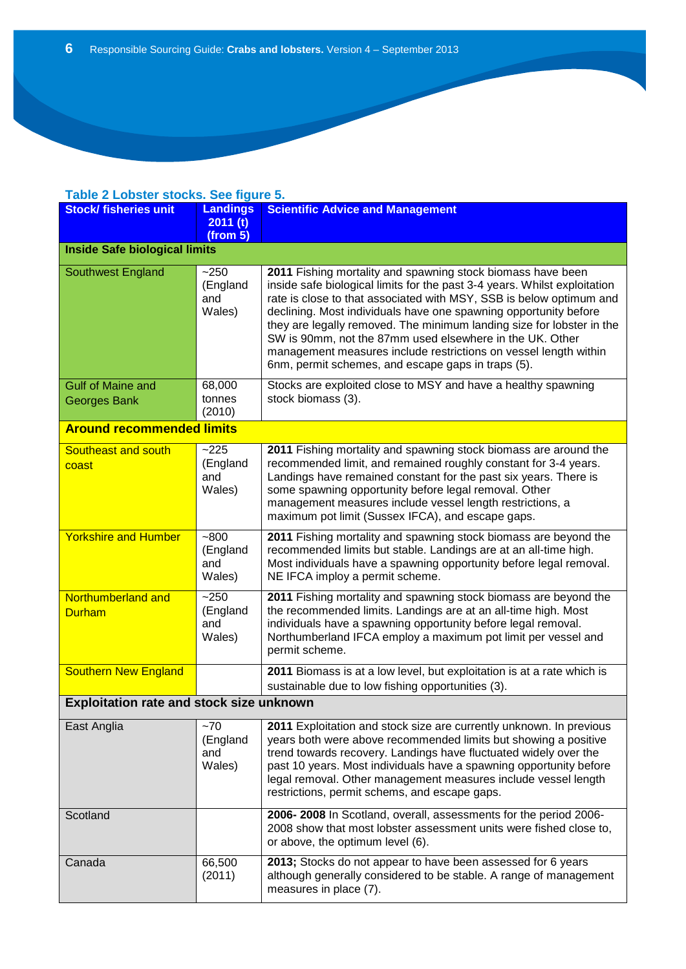### **Table 2 Lobster stocks. See figure 5.**

| <b>Stock/ fisheries unit</b>                    | <b>Landings</b><br>2011(t)<br>(from 5) | <b>Scientific Advice and Management</b>                                                                                                                                                                                                                                                                                                                                                                                                                                                                                                            |  |
|-------------------------------------------------|----------------------------------------|----------------------------------------------------------------------------------------------------------------------------------------------------------------------------------------------------------------------------------------------------------------------------------------------------------------------------------------------------------------------------------------------------------------------------------------------------------------------------------------------------------------------------------------------------|--|
| <b>Inside Safe biological limits</b>            |                                        |                                                                                                                                                                                                                                                                                                                                                                                                                                                                                                                                                    |  |
| Southwest England                               | $-250$<br>(England<br>and<br>Wales)    | 2011 Fishing mortality and spawning stock biomass have been<br>inside safe biological limits for the past 3-4 years. Whilst exploitation<br>rate is close to that associated with MSY, SSB is below optimum and<br>declining. Most individuals have one spawning opportunity before<br>they are legally removed. The minimum landing size for lobster in the<br>SW is 90mm, not the 87mm used elsewhere in the UK. Other<br>management measures include restrictions on vessel length within<br>6nm, permit schemes, and escape gaps in traps (5). |  |
| <b>Gulf of Maine and</b><br><b>Georges Bank</b> | 68,000<br>tonnes<br>(2010)             | Stocks are exploited close to MSY and have a healthy spawning<br>stock biomass (3).                                                                                                                                                                                                                                                                                                                                                                                                                                                                |  |
| <b>Around recommended limits</b>                |                                        |                                                                                                                                                                                                                                                                                                                                                                                                                                                                                                                                                    |  |
| Southeast and south<br>coast                    | $-225$<br>(England<br>and<br>Wales)    | 2011 Fishing mortality and spawning stock biomass are around the<br>recommended limit, and remained roughly constant for 3-4 years.<br>Landings have remained constant for the past six years. There is<br>some spawning opportunity before legal removal. Other<br>management measures include vessel length restrictions, a<br>maximum pot limit (Sussex IFCA), and escape gaps.                                                                                                                                                                 |  |
| <b>Yorkshire and Humber</b>                     | $-800$<br>(England<br>and<br>Wales)    | 2011 Fishing mortality and spawning stock biomass are beyond the<br>recommended limits but stable. Landings are at an all-time high.<br>Most individuals have a spawning opportunity before legal removal.<br>NE IFCA imploy a permit scheme.                                                                                                                                                                                                                                                                                                      |  |
| Northumberland and<br><b>Durham</b>             | $-250$<br>(England<br>and<br>Wales)    | 2011 Fishing mortality and spawning stock biomass are beyond the<br>the recommended limits. Landings are at an all-time high. Most<br>individuals have a spawning opportunity before legal removal.<br>Northumberland IFCA employ a maximum pot limit per vessel and<br>permit scheme.                                                                                                                                                                                                                                                             |  |
| <b>Southern New England</b>                     |                                        | 2011 Biomass is at a low level, but exploitation is at a rate which is<br>sustainable due to low fishing opportunities (3).                                                                                                                                                                                                                                                                                                                                                                                                                        |  |
| Exploitation rate and stock size unknown        |                                        |                                                                                                                                                                                                                                                                                                                                                                                                                                                                                                                                                    |  |
| East Anglia                                     | $-70$<br>(England<br>and<br>Wales)     | 2011 Exploitation and stock size are currently unknown. In previous<br>years both were above recommended limits but showing a positive<br>trend towards recovery. Landings have fluctuated widely over the<br>past 10 years. Most individuals have a spawning opportunity before<br>legal removal. Other management measures include vessel length<br>restrictions, permit schems, and escape gaps.                                                                                                                                                |  |
| Scotland                                        |                                        | 2006-2008 In Scotland, overall, assessments for the period 2006-<br>2008 show that most lobster assessment units were fished close to,<br>or above, the optimum level (6).                                                                                                                                                                                                                                                                                                                                                                         |  |
| Canada                                          | 66,500<br>(2011)                       | 2013; Stocks do not appear to have been assessed for 6 years<br>although generally considered to be stable. A range of management<br>measures in place (7).                                                                                                                                                                                                                                                                                                                                                                                        |  |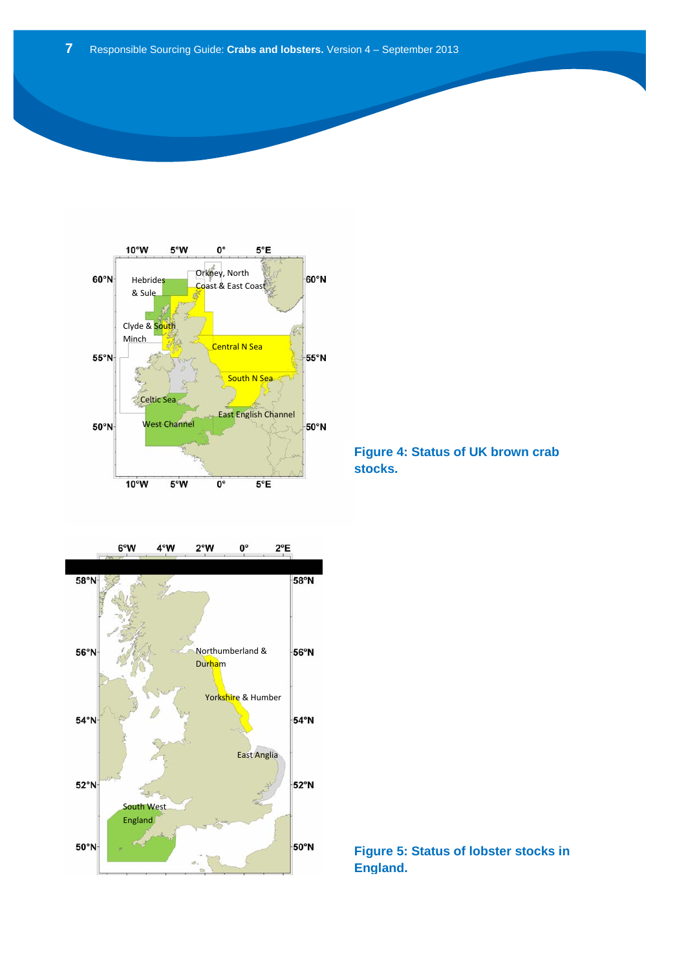



**Figure 4: Status of UK brown crab stocks.**

### **Figure 5: Status of lobster stocks in England.**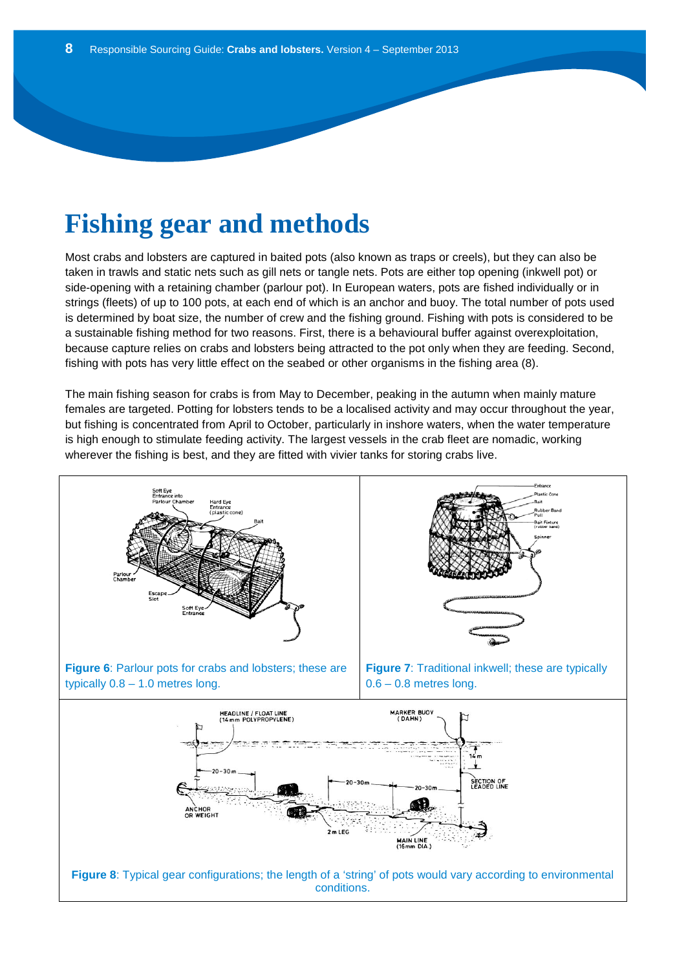# **Fishing gear and methods**

Most crabs and lobsters are captured in baited pots (also known as traps or creels), but they can also be taken in trawls and static nets such as gill nets or tangle nets. Pots are either top opening (inkwell pot) or side-opening with a retaining chamber (parlour pot). In European waters, pots are fished individually or in strings (fleets) of up to 100 pots, at each end of which is an anchor and buoy. The total number of pots used is determined by boat size, the number of crew and the fishing ground. Fishing with pots is considered to be a sustainable fishing method for two reasons. First, there is a behavioural buffer against overexploitation, because capture relies on crabs and lobsters being attracted to the pot only when they are feeding. Second, fishing with pots has very little effect on the seabed or other organisms in the fishing area (8).

The main fishing season for crabs is from May to December, peaking in the autumn when mainly mature females are targeted. Potting for lobsters tends to be a localised activity and may occur throughout the year, but fishing is concentrated from April to October, particularly in inshore waters, when the water temperature is high enough to stimulate feeding activity. The largest vessels in the crab fleet are nomadic, working wherever the fishing is best, and they are fitted with vivier tanks for storing crabs live.

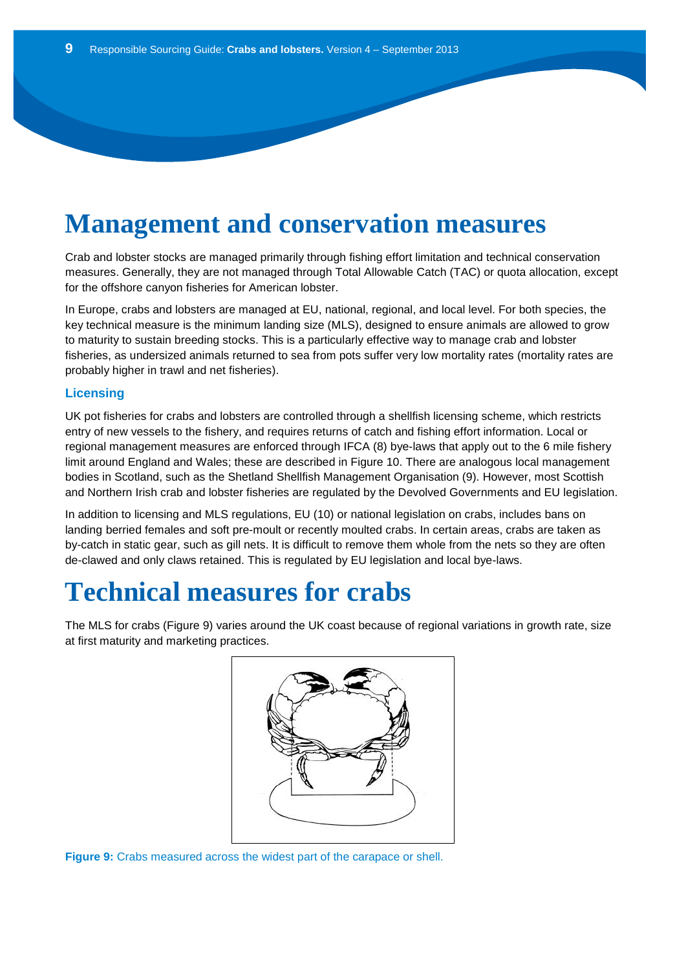# **Management and conservation measures**

Crab and lobster stocks are managed primarily through fishing effort limitation and technical conservation measures. Generally, they are not managed through Total Allowable Catch (TAC) or quota allocation, except for the offshore canyon fisheries for American lobster.

In Europe, crabs and lobsters are managed at EU, national, regional, and local level. For both species, the key technical measure is the minimum landing size (MLS), designed to ensure animals are allowed to grow to maturity to sustain breeding stocks. This is a particularly effective way to manage crab and lobster fisheries, as undersized animals returned to sea from pots suffer very low mortality rates (mortality rates are probably higher in trawl and net fisheries).

#### **Licensing**

UK pot fisheries for crabs and lobsters are controlled through a shellfish licensing scheme, which restricts entry of new vessels to the fishery, and requires returns of catch and fishing effort information. Local or regional management measures are enforced through IFCA (8) bye-laws that apply out to the 6 mile fishery limit around England and Wales; these are described in Figure 10. There are analogous local management bodies in Scotland, such as the Shetland Shellfish Management Organisation (9). However, most Scottish and Northern Irish crab and lobster fisheries are regulated by the Devolved Governments and EU legislation.

In addition to licensing and MLS regulations, EU (10) or national legislation on crabs, includes bans on landing berried females and soft pre-moult or recently moulted crabs. In certain areas, crabs are taken as by-catch in static gear, such as gill nets. It is difficult to remove them whole from the nets so they are often de-clawed and only claws retained. This is regulated by EU legislation and local bye-laws.

### **Technical measures for crabs**

The MLS for crabs (Figure 9) varies around the UK coast because of regional variations in growth rate, size at first maturity and marketing practices.



**Figure 9:** Crabs measured across the widest part of the carapace or shell.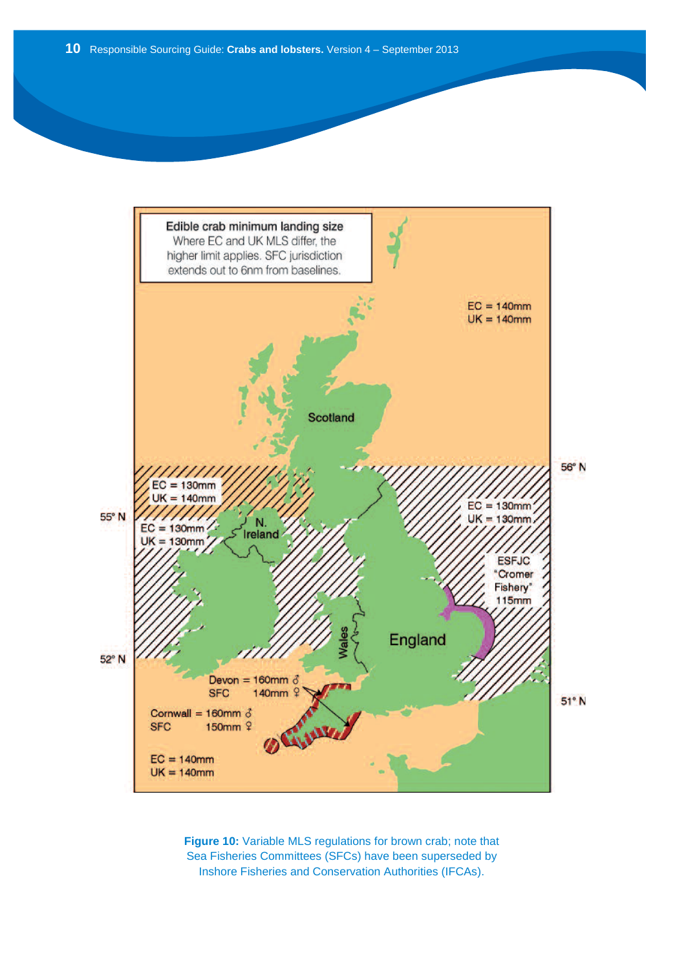

**Figure 10:** Variable MLS regulations for brown crab; note that Sea Fisheries Committees (SFCs) have been superseded by Inshore Fisheries and Conservation Authorities (IFCAs).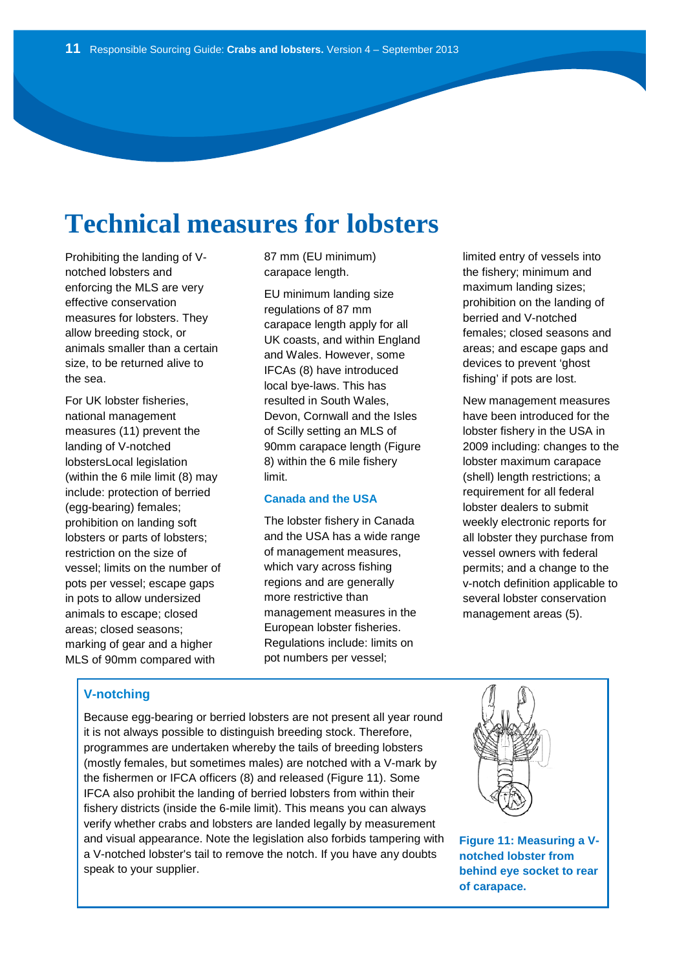# **Technical measures for lobsters**

Prohibiting the landing of Vnotched lobsters and enforcing the MLS are very effective conservation measures for lobsters. They allow breeding stock, or animals smaller than a certain size, to be returned alive to the sea.

For UK lobster fisheries, national management measures (11) prevent the landing of V-notched lobstersLocal legislation (within the 6 mile limit (8) may include: protection of berried (egg-bearing) females; prohibition on landing soft lobsters or parts of lobsters; restriction on the size of vessel; limits on the number of pots per vessel; escape gaps in pots to allow undersized animals to escape; closed areas; closed seasons; marking of gear and a higher MLS of 90mm compared with

87 mm (EU minimum) carapace length.

EU minimum landing size regulations of 87 mm carapace length apply for all UK coasts, and within England and Wales. However, some IFCAs (8) have introduced local bye-laws. This has resulted in South Wales, Devon, Cornwall and the Isles of Scilly setting an MLS of 90mm carapace length (Figure 8) within the 6 mile fishery limit.

#### **Canada and the USA**

The lobster fishery in Canada and the USA has a wide range of management measures, which vary across fishing regions and are generally more restrictive than management measures in the European lobster fisheries. Regulations include: limits on pot numbers per vessel;

limited entry of vessels into the fishery; minimum and maximum landing sizes; prohibition on the landing of berried and V-notched females; closed seasons and areas; and escape gaps and devices to prevent 'ghost fishing' if pots are lost.

New management measures have been introduced for the lobster fishery in the USA in 2009 including: changes to the lobster maximum carapace (shell) length restrictions; a requirement for all federal lobster dealers to submit weekly electronic reports for all lobster they purchase from vessel owners with federal permits; and a change to the v-notch definition applicable to several lobster conservation management areas (5).

### **V-notching**

Because egg-bearing or berried lobsters are not present all year round it is not always possible to distinguish breeding stock. Therefore, programmes are undertaken whereby the tails of breeding lobsters (mostly females, but sometimes males) are notched with a V-mark by the fishermen or IFCA officers (8) and released (Figure 11). Some IFCA also prohibit the landing of berried lobsters from within their fishery districts (inside the 6-mile limit). This means you can always verify whether crabs and lobsters are landed legally by measurement and visual appearance. Note the legislation also forbids tampering with a V-notched lobster's tail to remove the notch. If you have any doubts speak to your supplier.



**Figure 11: Measuring a Vnotched lobster from behind eye socket to rear of carapace.**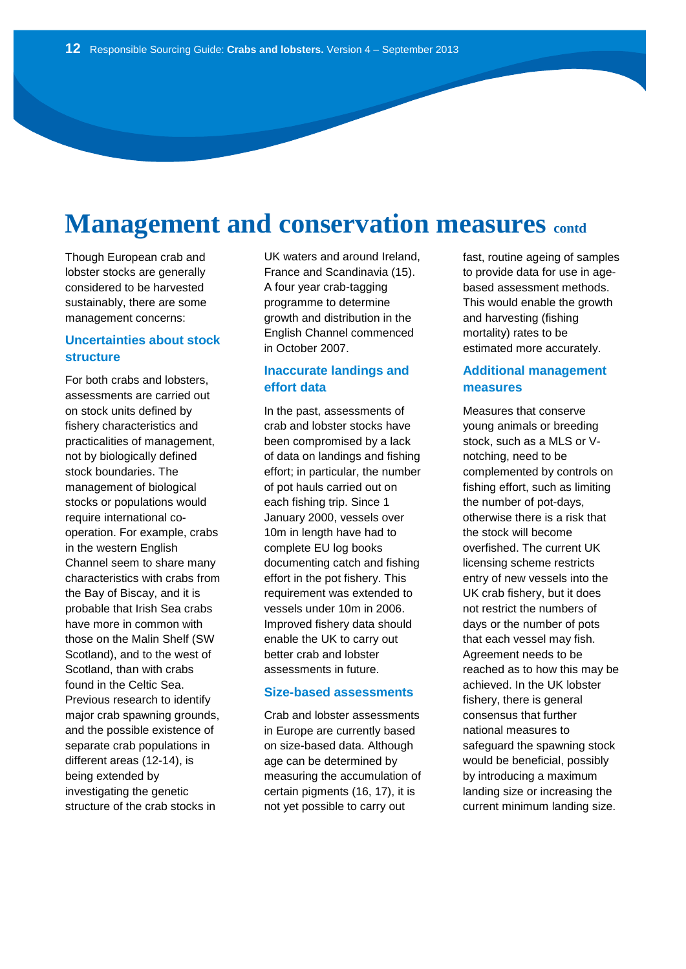# **Management and conservation measures contd**

Though European crab and lobster stocks are generally considered to be harvested sustainably, there are some management concerns:

### **Uncertainties about stock structure**

For both crabs and lobsters, assessments are carried out on stock units defined by fishery characteristics and practicalities of management, not by biologically defined stock boundaries. The management of biological stocks or populations would require international cooperation. For example, crabs in the western English Channel seem to share many characteristics with crabs from the Bay of Biscay, and it is probable that Irish Sea crabs have more in common with those on the Malin Shelf (SW Scotland), and to the west of Scotland, than with crabs found in the Celtic Sea. Previous research to identify major crab spawning grounds, and the possible existence of separate crab populations in different areas (12-14), is being extended by investigating the genetic structure of the crab stocks in

UK waters and around Ireland, France and Scandinavia (15). A four year crab-tagging programme to determine growth and distribution in the English Channel commenced in October 2007.

### **Inaccurate landings and effort data**

In the past, assessments of crab and lobster stocks have been compromised by a lack of data on landings and fishing effort; in particular, the number of pot hauls carried out on each fishing trip. Since 1 January 2000, vessels over 10m in length have had to complete EU log books documenting catch and fishing effort in the pot fishery. This requirement was extended to vessels under 10m in 2006. Improved fishery data should enable the UK to carry out better crab and lobster assessments in future.

### **Size-based assessments**

Crab and lobster assessments in Europe are currently based on size-based data. Although age can be determined by measuring the accumulation of certain pigments (16, 17), it is not yet possible to carry out

fast, routine ageing of samples to provide data for use in agebased assessment methods. This would enable the growth and harvesting (fishing mortality) rates to be estimated more accurately.

### **Additional management measures**

Measures that conserve young animals or breeding stock, such as a MLS or Vnotching, need to be complemented by controls on fishing effort, such as limiting the number of pot-days, otherwise there is a risk that the stock will become overfished. The current UK licensing scheme restricts entry of new vessels into the UK crab fishery, but it does not restrict the numbers of days or the number of pots that each vessel may fish. Agreement needs to be reached as to how this may be achieved. In the UK lobster fishery, there is general consensus that further national measures to safeguard the spawning stock would be beneficial, possibly by introducing a maximum landing size or increasing the current minimum landing size.